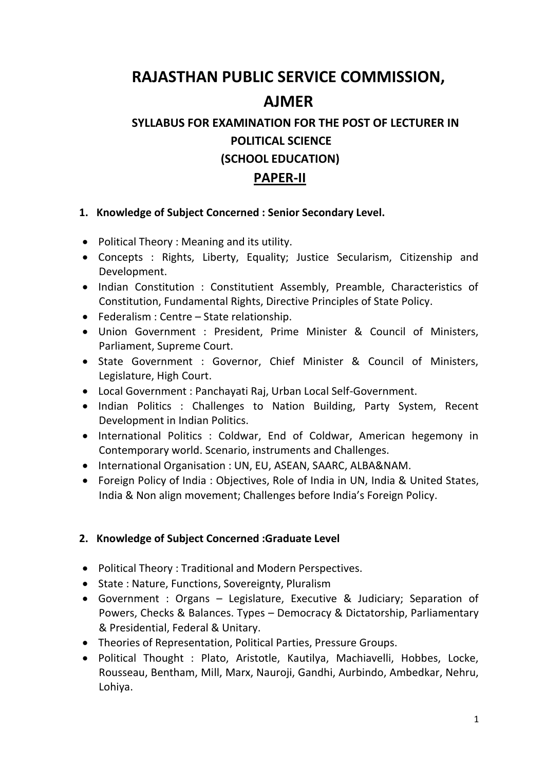# **RAJASTHAN PUBLIC SERVICE COMMISSION, AJMER**

# **SYLLABUS FOR EXAMINATION FOR THE POST OF LECTURER IN POLITICAL SCIENCE (SCHOOL EDUCATION)**

## **PAPER-II**

#### **1. Knowledge of Subject Concerned : Senior Secondary Level.**

- Political Theory : Meaning and its utility.
- Concepts : Rights, Liberty, Equality; Justice Secularism, Citizenship and Development.
- Indian Constitution : Constitutient Assembly, Preamble, Characteristics of Constitution, Fundamental Rights, Directive Principles of State Policy.
- Federalism : Centre State relationship.
- Union Government : President, Prime Minister & Council of Ministers, Parliament, Supreme Court.
- State Government : Governor, Chief Minister & Council of Ministers, Legislature, High Court.
- Local Government : Panchayati Raj, Urban Local Self-Government.
- Indian Politics : Challenges to Nation Building, Party System, Recent Development in Indian Politics.
- International Politics : Coldwar, End of Coldwar, American hegemony in Contemporary world. Scenario, instruments and Challenges.
- $\bullet$  International Organisation : UN, EU, ASEAN, SAARC, ALBA&NAM.
- Foreign Policy of India : Objectives, Role of India in UN, India & United States, India & Non align movement; Challenges before India's Foreign Policy.

### **2. Knowledge of Subject Concerned :Graduate Level**

- Political Theory : Traditional and Modern Perspectives.
- State : Nature, Functions, Sovereignty, Pluralism
- Government : Organs Legislature, Executive & Judiciary; Separation of Powers, Checks & Balances. Types – Democracy & Dictatorship, Parliamentary & Presidential, Federal & Unitary.
- Theories of Representation, Political Parties, Pressure Groups.
- Political Thought : Plato, Aristotle, Kautilya, Machiavelli, Hobbes, Locke, Rousseau, Bentham, Mill, Marx, Nauroji, Gandhi, Aurbindo, Ambedkar, Nehru, Lohiya.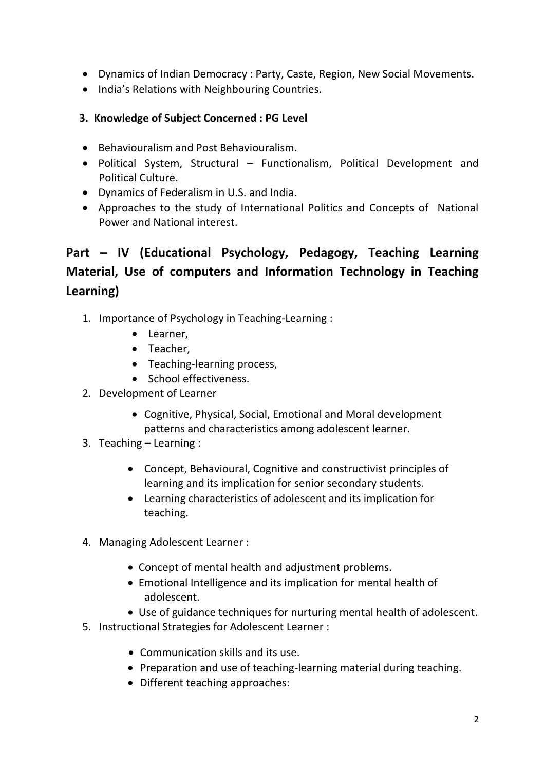- Dynamics of Indian Democracy : Party, Caste, Region, New Social Movements.
- India's Relations with Neighbouring Countries.
- **3. Knowledge of Subject Concerned : PG Level**
- Behaviouralism and Post Behaviouralism.
- Political System, Structural Functionalism, Political Development and Political Culture.
- Dynamics of Federalism in U.S. and India.
- Approaches to the study of International Politics and Concepts of National Power and National interest.

## **Part – IV (Educational Psychology, Pedagogy, Teaching Learning Material, Use of computers and Information Technology in Teaching Learning)**

- 1. Importance of Psychology in Teaching-Learning :
	- Learner,
	- Teacher,
	- Teaching-learning process,
	- School effectiveness.
- 2. Development of Learner
	- Cognitive, Physical, Social, Emotional and Moral development patterns and characteristics among adolescent learner.
- 3. Teaching Learning :
	- Concept, Behavioural, Cognitive and constructivist principles of learning and its implication for senior secondary students.
	- Learning characteristics of adolescent and its implication for teaching.
- 4. Managing Adolescent Learner :
	- Concept of mental health and adjustment problems.
	- Emotional Intelligence and its implication for mental health of adolescent.
	- Use of guidance techniques for nurturing mental health of adolescent.
- 5. Instructional Strategies for Adolescent Learner :
	- Communication skills and its use.
	- Preparation and use of teaching-learning material during teaching.
	- Different teaching approaches: